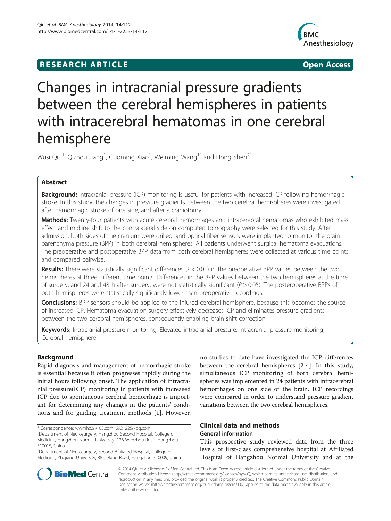## **RESEARCH ARTICLE Example 2014 12:30 The SEAR CH ACCESS**



# Changes in intracranial pressure gradients between the cerebral hemispheres in patients with intracerebral hematomas in one cerebral hemisphere

Wusi Qiu<sup>1</sup>, Qizhou Jiang<sup>1</sup>, Guoming Xiao<sup>1</sup>, Weiming Wang<sup>1\*</sup> and Hong Shen<sup>2\*</sup>

## Abstract

**Background:** Intracranial-pressure (ICP) monitoring is useful for patients with increased ICP following hemorrhagic stroke. In this study, the changes in pressure gradients between the two cerebral hemispheres were investigated after hemorrhagic stroke of one side, and after a craniotomy.

Methods: Twenty-four patients with acute cerebral hemorrhages and intracerebral hematomas who exhibited mass effect and midline shift to the contralateral side on computed tomography were selected for this study. After admission, both sides of the cranium were drilled, and optical fiber sensors were implanted to monitor the brain parenchyma pressure (BPP) in both cerebral hemispheres. All patients underwent surgical hematoma evacuations. The preoperative and postoperative BPP data from both cerebral hemispheres were collected at various time points and compared pairwise.

Results: There were statistically significant differences ( $P < 0.01$ ) in the preoperative BPP values between the two hemispheres at three different time points. Differences in the BPP values between the two hemispheres at the time of surgery, and 24 and 48 h after surgery, were not statistically significant ( $P > 0.05$ ). The posteroperative BPPs of both hemispheres were statistically significantly lower than preoperative recordings.

Conclusions: BPP sensors should be applied to the injured cerebral hemisphere, because this becomes the source of increased ICP. Hematoma evacuation surgery effectively decreases ICP and eliminates pressure gradients between the two cerebral hemispheres, consequently enabling brain shift correction.

Keywords: Intracranial-pressure monitoring, Elevated intracranial pressure, Intracranial pressure monitoring, Cerebral hemisphere

## Background

Rapid diagnosis and management of hemorrhagic stroke is essential because it often progresses rapidly during the initial hours following onset. The application of intracranial pressure(ICP) monitoring in patients with increased ICP due to spontaneous cerebral hemorrhage is important for determining any changes in the patients' conditions and for guiding treatment methods [[1\]](#page-3-0). However,

no studies to date have investigated the ICP differences between the cerebral hemispheres [[2-4](#page-3-0)]. In this study, simultaneous ICP monitoring of both cerebral hemispheres was implemented in 24 patients with intracerebral hemorrhages on one side of the brain. ICP recordings were compared in order to understand pressure gradient variations between the two cerebral hemispheres.

## Clinical data and methods General information

This prospective study reviewed data from the three levels of first-class comprehensive hospital at Affiliated Hospital of Hangzhou Normal University and at the



© 2014 Qiu et al.; licensee BioMed Central Ltd. This is an Open Access article distributed under the terms of the Creative Commons Attribution License [\(http://creativecommons.org/licenses/by/4.0\)](http://creativecommons.org/licenses/by/4.0), which permits unrestricted use, distribution, and reproduction in any medium, provided the original work is properly credited. The Creative Commons Public Domain Dedication waiver [\(http://creativecommons.org/publicdomain/zero/1.0/](http://creativecommons.org/publicdomain/zero/1.0/)) applies to the data made available in this article, unless otherwise stated.

<sup>\*</sup> Correspondence: [wwmhz2@163.com;](mailto:wwmhz2@163.com) [6921225@qq.com](mailto:6921225@qq.com) <sup>1</sup>

<sup>&</sup>lt;sup>1</sup>Department of Neurosurgery, Hangzhou Second Hospital, College of Medicine, Hangzhou Normal University, 126 Wenzhou Road, Hangzhou 310015, China

<sup>&</sup>lt;sup>2</sup>Department of Neurosurgery, Second Affiliated Hospital, College of Medicine, Zhejiang University, 88 Jiefang Road, Hangzhou 310009, China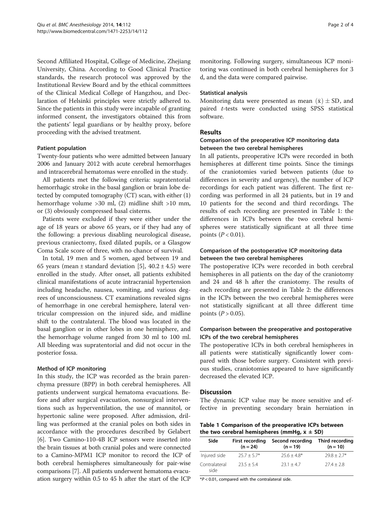Second Affiliated Hospital, College of Medicine, Zhejiang University, China. According to Good Clinical Practice standards, the research protocol was approved by the Institutional Review Board and by the ethical committees of the Clinical Medical College of Hangzhou, and Declaration of Helsinki principles were strictly adhered to. Since the patients in this study were incapable of granting informed consent, the investigators obtained this from the patients' legal guardians or by healthy proxy, before proceeding with the advised treatment.

#### Patient population

Twenty-four patients who were admitted between January 2006 and January 2012 with acute cerebral hemorrhages and intracerebral hematomas were enrolled in the study.

All patients met the following criteria: supratentorial hemorrhagic stroke in the basal ganglion or brain lobe detected by computed tomography (CT) scan, with either (1) hemorrhage volume >30 ml, (2) midline shift >10 mm, or (3) obviously compressed basal cisterns.

Patients were excluded if they were either under the age of 18 years or above 65 years, or if they had any of the following: a previous disabling neurological disease, previous craniectomy, fixed dilated pupils, or a Glasgow Coma Scale score of three, with no chance of survival.

In total, 19 men and 5 women, aged between 19 and 65 years (mean  $\pm$  standard deviation [\[5](#page-3-0)], 40.2  $\pm$  4.5) were enrolled in the study. After onset, all patients exhibited clinical manifestations of acute intracranial hypertension including headache, nausea, vomiting, and various degrees of unconsciousness. CT examinations revealed signs of hemorrhage in one cerebral hemisphere, lateral ventricular compression on the injured side, and midline shift to the contralateral. The blood was located in the basal ganglion or in other lobes in one hemisphere, and the hemorrhage volume ranged from 30 ml to 100 ml. All bleeding was supratentorial and did not occur in the posterior fossa.

#### Method of ICP monitoring

In this study, the ICP was recorded as the brain parenchyma pressure (BPP) in both cerebral hemispheres. All patients underwent surgical hematoma evacuations. Before and after surgical evacuation, nonsurgical interventions such as hyperventilation, the use of mannitol, or hypertonic saline were proposed. After admission, drilling was performed at the cranial poles on both sides in accordance with the procedures described by Gelabert [[6\]](#page-3-0). Two Camino-110-4B ICP sensors were inserted into the brain tissues at both cranial poles and were connected to a Camino-MPM1 ICP monitor to record the ICP of both cerebral hemispheres simultaneously for pair-wise comparisons [[7\]](#page-3-0). All patients underwent hematoma evacuation surgery within 0.5 to 45 h after the start of the ICP

monitoring. Following surgery, simultaneous ICP monitoring was continued in both cerebral hemispheres for 3 d, and the data were compared pairwise.

#### Statistical analysis

Monitoring data were presented as mean  $(\bar{x}) \pm SD$ , and paired t-tests were conducted using SPSS statistical software.

### Results

## Comparison of the preoperative ICP monitoring data between the two cerebral hemispheres

In all patients, preoperative ICPs were recorded in both hemispheres at different time points. Since the timings of the craniotomies varied between patients (due to differences in severity and urgency), the number of ICP recordings for each patient was different. The first recording was performed in all 24 patients, but in 19 and 10 patients for the second and third recordings. The results of each recording are presented in Table 1: the differences in ICPs between the two cerebral hemispheres were statistically significant at all three time points  $(P < 0.01)$ .

## Comparison of the postoperative ICP monitoring data between the two cerebral hemispheres

The postoperative ICPs were recorded in both cerebral hemispheres in all patients on the day of the craniotomy and 24 and 48 h after the craniotomy. The results of each recording are presented in Table [2](#page-2-0): the differences in the ICPs between the two cerebral hemispheres were not statistically significant at all three different time points  $(P > 0.05)$ .

## Comparison between the preoperative and postoperative ICPs of the two cerebral hemispheres

The postoperative ICPs in both cerebral hemispheres in all patients were statistically significantly lower compared with those before surgery. Consistent with previous studies, craniotomies appeared to have significantly decreased the elevated ICP.

## **Discussion**

The dynamic ICP value may be more sensitive and effective in preventing secondary brain herniation in

Table 1 Comparison of the preoperative ICPs between the two cerebral hemispheres (mmHg,  $\bar{x} \pm SD$ )

| Side                  | First recording<br>$(n = 24)$ | Second recording<br>$(n = 19)$ | Third recording<br>$(n = 10)$ |
|-----------------------|-------------------------------|--------------------------------|-------------------------------|
| Injured side          | $25.7 + 5.7*$                 | $25.6 + 4.8*$                  | $79.8 + 7.7*$                 |
| Contralateral<br>side | $23.5 + 5.4$                  | $23.1 + 4.7$                   | $77.4 + 7.8$                  |

 $*P < 0.01$ , compared with the contralateral side.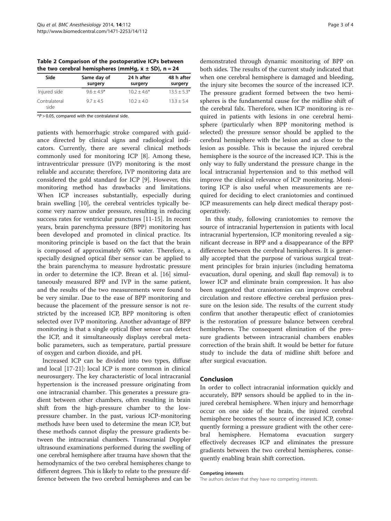<span id="page-2-0"></span>Table 2 Comparison of the postoperative ICPs between the two cerebral hemispheres (mmHg,  $\bar{x} \pm SD$ ), n = 24

| Side                  | Same day of<br>surgery | 24 h after<br>surgery | 48 h after<br>surgery |
|-----------------------|------------------------|-----------------------|-----------------------|
| Injured side          | $9.6 + 4.9*$           | $10.2 + 4.6*$         | $13.5 + 5.3*$         |
| Contralateral<br>side | $9.7 + 4.5$            | $10.2 + 4.0$          | $13.3 + 5.4$          |

 $*P > 0.05$ , compared with the contralateral side.

patients with hemorrhagic stroke compared with guidance directed by clinical signs and radiological indicators. Currently, there are several clinical methods commonly used for monitoring ICP [[8\]](#page-3-0). Among these, intraventricular pressure (IVP) monitoring is the most reliable and accurate; therefore, IVP monitoring data are considered the gold standard for ICP [[9\]](#page-3-0). However, this monitoring method has drawbacks and limitations. When ICP increases substantially, especially during brain swelling [[10](#page-3-0)], the cerebral ventricles typically become very narrow under pressure, resulting in reducing success rates for ventricular punctures [\[11](#page-3-0)-[15\]](#page-3-0). In recent years, brain parenchyma pressure (BPP) monitoring has been developed and promoted in clinical practice. Its monitoring principle is based on the fact that the brain is composed of approximately 60% water. Therefore, a specially designed optical fiber sensor can be applied to the brain parenchyma to measure hydrostatic pressure in order to determine the ICP. Brean et al. [\[16](#page-3-0)] simultaneously measured BPP and IVP in the same patient, and the results of the two measurements were found to be very similar. Due to the ease of BPP monitoring and because the placement of the pressure sensor is not restricted by the increased ICP, BPP monitoring is often selected over IVP monitoring. Another advantage of BPP monitoring is that a single optical fiber sensor can detect the ICP, and it simultaneously displays cerebral metabolic parameters, such as temperature, partial pressure of oxygen and carbon dioxide, and pH.

Increased ICP can be divided into two types, diffuse and local [\[17-21](#page-3-0)]: local ICP is more common in clinical neurosurgery. The key characteristic of local intracranial hypertension is the increased pressure originating from one intracranial chamber. This generates a pressure gradient between other chambers, often resulting in brain shift from the high-pressure chamber to the lowpressure chamber. In the past, various ICP-monitoring methods have been used to determine the mean ICP, but these methods cannot display the pressure gradients between the intracranial chambers. Transcranial Doppler ultrasound examinations performed during the swelling of one cerebral hemisphere after trauma have shown that the hemodynamics of the two cerebral hemispheres change to different degrees. This is likely to relate to the pressure difference between the two cerebral hemispheres and can be

demonstrated through dynamic monitoring of BPP on both sides. The results of the current study indicated that when one cerebral hemisphere is damaged and bleeding, the injury site becomes the source of the increased ICP. The pressure gradient formed between the two hemispheres is the fundamental cause for the midline shift of the cerebral falx. Therefore, when ICP monitoring is required in patients with lesions in one cerebral hemisphere (particularly when BPP monitoring method is selected) the pressure sensor should be applied to the cerebral hemisphere with the lesion and as close to the lesion as possible. This is because the injured cerebral hemisphere is the source of the increased ICP. This is the only way to fully understand the pressure change in the local intracranial hypertension and to this method will improve the clinical relevance of ICP monitoring. Monitoring ICP is also useful when measurements are required for deciding to elect craniotomies and continued ICP measurements can help direct medical therapy postoperatively.

In this study, following craniotomies to remove the source of intracranial hypertension in patients with local intracranial hypertension, ICP monitoring revealed a significant decrease in BPP and a disappearance of the BPP difference between the cerebral hemispheres. It is generally accepted that the purpose of various surgical treatment principles for brain injuries (including hematoma evacuation, dural opening, and skull flap removal) is to lower ICP and eliminate brain compression. It has also been suggested that craniotomies can improve cerebral circulation and restore effective cerebral perfusion pressure on the lesion side. The results of the current study confirm that another therapeutic effect of craniotomies is the restoration of pressure balance between cerebral hemispheres. The consequent elimination of the pressure gradients between intracranial chambers enables correction of the brain shift. It would be better for future study to include the data of midline shift before and after surgical evacuation.

#### Conclusion

In order to collect intracranial information quickly and accurately, BPP sensors should be applied to in the injured cerebral hemisphere. When injury and hemorrhage occur on one side of the brain, the injured cerebral hemisphere becomes the source of increased ICP, consequently forming a pressure gradient with the other cerebral hemisphere. Hematoma evacuation surgery effectively decreases ICP and eliminates the pressure gradients between the two cerebral hemispheres, consequently enabling brain shift correction.

#### Competing interests

The authors declare that they have no competing interests.